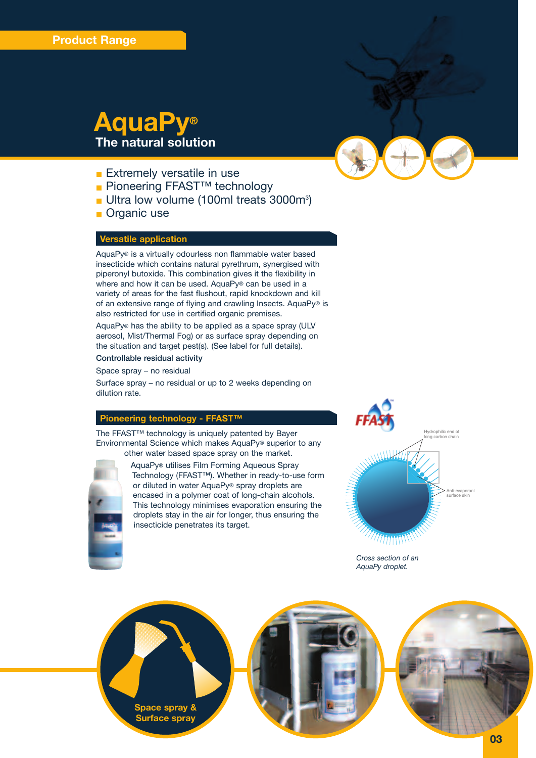# **AquaPy® The natural solution**

- **Extremely versatile in use**
- Pioneering FFAST<sup>™</sup> technology
- Ultra low volume (100ml treats 3000m<sup>3</sup>)
- **Organic use**

# **Versatile application**

AquaPy® is a virtually odourless non flammable water based insecticide which contains natural pyrethrum, synergised with piperonyl butoxide. This combination gives it the flexibility in where and how it can be used. AquaPy® can be used in a variety of areas for the fast flushout, rapid knockdown and kill of an extensive range of flying and crawling Insects. AquaPy® is also restricted for use in certified organic premises.

AquaPy® has the ability to be applied as a space spray (ULV aerosol, Mist/Thermal Fog) or as surface spray depending on the situation and target pest(s). (See label for full details).

**Controllable residual activity**

Space spray – no residual

Surface spray – no residual or up to 2 weeks depending on dilution rate.

# **Pioneering technology - FFAST™**

The FFAST™ technology is uniquely patented by Bayer Environmental Science which makes AquaPy® superior to any other water based space spray on the market.



AquaPy® utilises Film Forming Aqueous Spray Technology (FFAST™). Whether in ready-to-use form or diluted in water AquaPy® spray droplets are encased in a polymer coat of long-chain alcohols. This technology minimises evaporation ensuring the droplets stay in the air for longer, thus ensuring the insecticide penetrates its target.



*Cross section of an AquaPy droplet.*